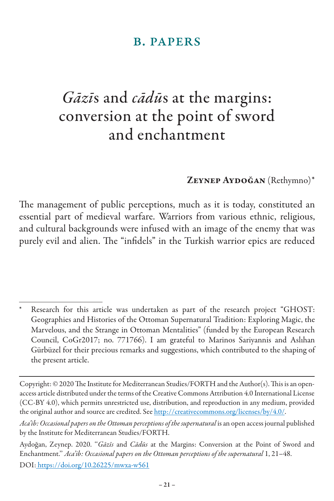### b. papers

# *Gāzī*s and *cādū*s at the margins: conversion at the point of sword and enchantment

### ZEYNEP AYDOĞAN (Rethymno)\*

The management of public perceptions, much as it is today, constituted an essential part of medieval warfare. Warriors from various ethnic, religious, and cultural backgrounds were infused with an image of the enemy that was purely evil and alien. The "infidels" in the Turkish warrior epics are reduced

Research for this article was undertaken as part of the research project "GHOST: Geographies and Histories of the Ottoman Supernatural Tradition: Exploring Magic, the Marvelous, and the Strange in Ottoman Mentalities" (funded by the European Research Council, CoGr2017; no. 771766). I am grateful to Marinos Sariyannis and Aslıhan Gürbüzel for their precious remarks and suggestions, which contributed to the shaping of the present article.

Copyright: © 2020 The Institute for Mediterranean Studies/FORTH and the Author(s). This is an openaccess article distributed under the terms of the Creative Commons Attribution 4.0 International License (CC-BY 4.0), which permits unrestricted use, distribution, and reproduction in any medium, provided the original author and source are credited. See http://creativecommons.org/licenses/by/4.0/.

*Aca'ib: Occasional papers on the Ottoman perceptions of the supernatural* is an open access journal published by the Institute for Mediterranean Studies/FORTH.

Aydoğan, Zeynep. 2020. ''*Gāzīs* and *Cādūs* at the Margins: Conversion at the Point of Sword and Enchantment.'' *Aca'ib: Occasional papers on the Ottoman perceptions of the supernatural* 1, 21–48.

DOI: https://doi.org/10.26225/mwxa-w561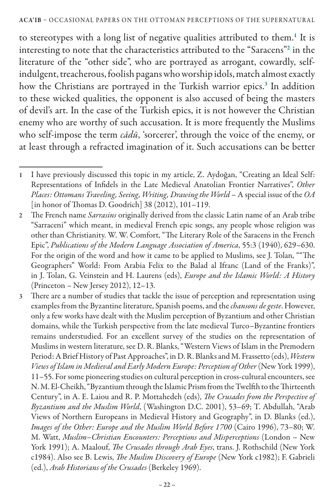#### ACA'IB – OCCASIONAL PAPERS ON THE OTTOMAN PERCEPTIONS OF THE SUPERNATURAL

to stereotypes with a long list of negative qualities attributed to them.<sup>1</sup> It is interesting to note that the characteristics attributed to the "Saracens"<sup>2</sup> in the literature of the "other side", who are portrayed as arrogant, cowardly, selfindulgent, treacherous, foolish pagans who worship idols, match almost exactly how the Christians are portrayed in the Turkish warrior epics.<sup>3</sup> In addition to these wicked qualities, the opponent is also accused of being the masters of devil's art. In the case of the Turkish epics, it is not however the Christian enemy who are worthy of such accusation. It is more frequently the Muslims who self-impose the term *cādū*, 'sorcerer', through the voice of the enemy, or at least through a refracted imagination of it. Such accusations can be better

<sup>1</sup> I have previously discussed this topic in my article, Z. Aydoğan, "Creating an Ideal Self: Representations of Infidels in the Late Medieval Anatolian Frontier Narratives", *Other Places: Ottomans Traveling, Seeing, Writing, Drawing the World* – A special issue of the *OA* [in honor of Thomas D. Goodrich] 38 (2012), 101–119.

<sup>2</sup> The French name *Sarrasins* originally derived from the classic Latin name of an Arab tribe "Sarraceni" which meant, in medieval French epic songs, any people whose religion was other than Christianity. W. W. Comfort, "The Literary Role of the Saracens in the French Epic", *Publications of the Modern Language Association of America*, 55:3 (1940), 629–630. For the origin of the word and how it came to be applied to Muslims, see J. Tolan, ""The Geographers" World: From Arabia Felix to the Balad al Ifranc (Land of the Franks)", in J. Tolan, G. Veinstein and H. Laurens (eds), *Europe and the Islamic World: A History* (Princeton – New Jersey 2012), 12–13.

<sup>3</sup> There are a number of studies that tackle the issue of perception and representation using examples from the Byzantine literature, Spanish poems, and the *chansons de geste*. However, only a few works have dealt with the Muslim perception of Byzantium and other Christian domains, while the Turkish perspective from the late medieval Turco–Byzantine frontiers remains understudied. For an excellent survey of the studies on the representation of Muslims in western literature, see D. R. Blanks, "Western Views of Islam in the Premodern Period: A Brief History of Past Approaches", in D. R. Blanks and M. Frassetto (eds), *Western Views of Islam in Medieval and Early Modern Europe: Perception of Other* (New York 1999), 11–55. For some pioneering studies on cultural perception in cross-cultural encounters, see N. M. El-Cheikh, "Byzantium through the Islamic Prism from the Twelfth to the Thirteenth Century", in A. E. Laiou and R. P. Mottahedeh (eds), *The Crusades from the Perspective of Byzantium and the Muslim World*, (Washington D.C. 2001), 53–69; T. Abdullah, "Arab Views of Northern Europeans in Medieval History and Geography", in D. Blanks (ed.), *Images of the Other: Europe and the Muslim World Before 1700* (Cairo 1996), 73–80; W. M. Watt, *Muslim*–*Christian Encounters: Perceptions and Misperceptions* (London – New York 1991); A. Maalouf, *The Crusades through Arab Eyes*, trans. J. Rothschild (New York c1984). Also see B. Lewis, *The Muslim Discovery of Europe* (New York c1982); F. Gabrieli (ed.), *Arab Historians of the Crusades* (Berkeley 1969).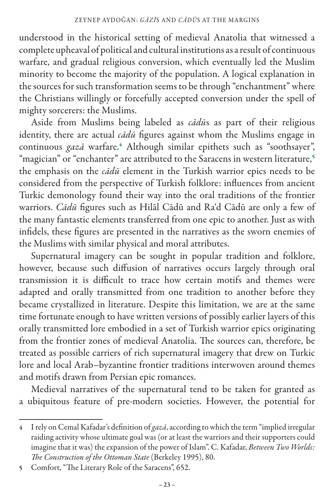understood in the historical setting of medieval Anatolia that witnessed a complete upheaval of political and cultural institutions as a result of continuous warfare, and gradual religious conversion, which eventually led the Muslim minority to become the majority of the population. A logical explanation in the sources for such transformation seems to be through "enchantment" where the Christians willingly or forcefully accepted conversion under the spell of mighty sorcerers: the Muslims.

Aside from Muslims being labeled as *cādū*s as part of their religious identity, there are actual *cādū* figures against whom the Muslims engage in continuous *gazā* warfare.<sup>4</sup> Although similar epithets such as "soothsayer", "magician" or "enchanter" are attributed to the Saracens in western literature,<sup>5</sup> the emphasis on the *cādū* element in the Turkish warrior epics needs to be considered from the perspective of Turkish folklore: influences from ancient Turkic demonology found their way into the oral traditions of the frontier warriors. *Cādū* figures such as Hilāl Cādū and Ra'd Cādū are only a few of the many fantastic elements transferred from one epic to another. Just as with infidels, these figures are presented in the narratives as the sworn enemies of the Muslims with similar physical and moral attributes.

Supernatural imagery can be sought in popular tradition and folklore, however, because such diffusion of narratives occurs largely through oral transmission it is difficult to trace how certain motifs and themes were adapted and orally transmitted from one tradition to another before they became crystallized in literature. Despite this limitation, we are at the same time fortunate enough to have written versions of possibly earlier layers of this orally transmitted lore embodied in a set of Turkish warrior epics originating from the frontier zones of medieval Anatolia. The sources can, therefore, be treated as possible carriers of rich supernatural imagery that drew on Turkic lore and local Arab–byzantine frontier traditions interwoven around themes and motifs drawn from Persian epic romances.

Medieval narratives of the supernatural tend to be taken for granted as a ubiquitous feature of pre-modern societies. However, the potential for

<sup>4</sup> I rely on Cemal Kafadar's definition of *gazā*, according to which the term "implied irregular raiding activity whose ultimate goal was (or at least the warriors and their supporters could imagine that it was) the expansion of the power of Islam". C. Kafadar, *Between Two Worlds: The Construction of the Ottoman State* (Berkeley 1995), 80.

<sup>5</sup> Comfort, "The Literary Role of the Saracens", 652.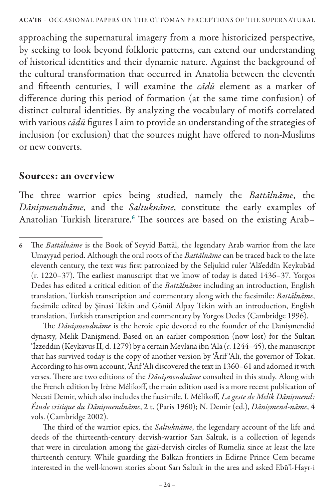approaching the supernatural imagery from a more historicized perspective, by seeking to look beyond folkloric patterns, can extend our understanding of historical identities and their dynamic nature. Against the background of the cultural transformation that occurred in Anatolia between the eleventh and fifteenth centuries, I will examine the *cādū* element as a marker of difference during this period of formation (at the same time confusion) of distinct cultural identities. By analyzing the vocabulary of motifs correlated with various *cādū* figures I aim to provide an understanding of the strategies of inclusion (or exclusion) that the sources might have offered to non-Muslims or new converts.

### Sources: an overview

The three warrior epics being studied, namely the *Battālnāme*, the *Dānişmendnāme*, and the *Saltuknāme*, constitute the early examples of Anatolian Turkish literature.<sup>6</sup> The sources are based on the existing Arab–

The *Dānişmendnāme* is the heroic epic devoted to the founder of the Danişmendid dynasty, Melik Dānişmend. Based on an earlier composition (now lost) for the Sultan 'İzzeddīn (Keykāvus II, d. 1279) by a certain Mevlānā ibn 'Alā (*c*. 1244–45), the manuscript that has survived today is the copy of another version by 'Ārif 'Alī, the governor of Tokat. According to his own account, 'Ārif 'Alī discovered the text in 1360–61 and adorned it with verses. There are two editions of the *Dānişmendnāme* consulted in this study. Along with the French edition by Irène Mélikoff, the main edition used is a more recent publication of Necati Demir, which also includes the facsimile. I. Mélikoff, *La geste de Melik Dānişmend: Étude critique du Dānişmendnāme*, 2 t. (Paris 1960); N. Demir (ed.), *Dānişmend-nāme*, 4 vols. (Cambridge 2002).

The third of the warrior epics, the *Saltuknāme*, the legendary account of the life and deeds of the thirteenth-century dervish-warrior Sarı Saltuk, is a collection of legends that were in circulation among the gāzī-dervish circles of Rumelia since at least the late thirteenth century. While guarding the Balkan frontiers in Edirne Prince Cem became interested in the well-known stories about Sarı Saltuk in the area and asked Ebū'l-Hayr-i

<sup>6</sup> The *Battālnāme* is the Book of Seyyid Battāl, the legendary Arab warrior from the late Umayyad period. Although the oral roots of the *Battālnāme* can be traced back to the late eleventh century, the text was first patronized by the Seljukid ruler 'Alā'eddīn Keykubād (r. 1220–37). The earliest manuscript that we know of today is dated 1436–37. Yorgos Dedes has edited a critical edition of the *Battālnāme* including an introduction, English translation, Turkish transcription and commentary along with the facsimile: *Battālnāme*, facsimile edited by Şinasi Tekin and Gönül Alpay Tekin with an introduction, English translation, Turkish transcription and commentary by Yorgos Dedes (Cambridge 1996).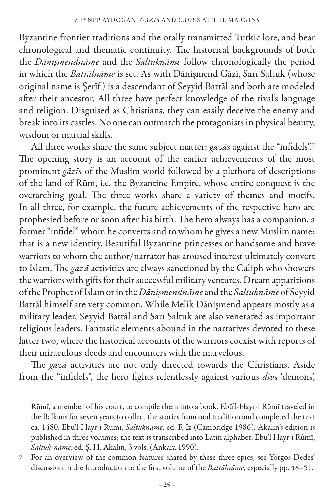Byzantine frontier traditions and the orally transmitted Turkic lore, and bear chronological and thematic continuity. The historical backgrounds of both the *Dānişmendnāme* and the *Saltuknāme* follow chronologically the period in which the *Battālnāme* is set. As with Dānişmend Gāzī, Sarı Saltuk (whose original name is Şerīf ) is a descendant of Seyyid Battāl and both are modeled after their ancestor. All three have perfect knowledge of the rival's language and religion. Disguised as Christians, they can easily deceive the enemy and break into its castles. No one can outmatch the protagonists in physical beauty, wisdom or martial skills.

All three works share the same subject matter: *gazā*s against the "infidels".<sup>7</sup> The opening story is an account of the earlier achievements of the most prominent *gāzī*s of the Muslim world followed by a plethora of descriptions of the land of Rūm, i.e. the Byzantine Empire, whose entire conquest is the overarching goal. The three works share a variety of themes and motifs. In all three, for example, the future achievements of the respective hero are prophesied before or soon after his birth. The hero always has a companion, a former "infidel" whom he converts and to whom he gives a new Muslim name; that is a new identity. Beautiful Byzantine princesses or handsome and brave warriors to whom the author/narrator has aroused interest ultimately convert to Islam. The *gazā* activities are always sanctioned by the Caliph who showers the warriors with gifts for their successful military ventures. Dream apparitions of the Prophet of Islam or in the *Dānişmendnāme* and the *Saltuknāme* of Seyyid Battāl himself are very common. While Melik Dānişmend appears mostly as a military leader, Seyyid Battāl and Sarı Saltuk are also venerated as important religious leaders. Fantastic elements abound in the narratives devoted to these latter two, where the historical accounts of the warriors coexist with reports of their miraculous deeds and encounters with the marvelous.

The *gazā* activities are not only directed towards the Christians. Aside from the "infidels", the hero fights relentlessly against various *dīv*s 'demons',

Rūmī, a member of his court, to compile them into a book. Ebū'l-Hayr-i Rūmī traveled in the Balkans for seven years to collect the stories from oral tradition and completed the text ca. 1480. Ebū'l-Hayr-i Rūmī, *Saltuknāme*, ed. F. İz (Cambridge 1986). Akalın's edition is published in three volumes; the text is transcribed into Latin alphabet. Ebü'l Hayr-i Rûmî, *Saltuk-nâme*, ed. Ş. H. Akalın, 3 vols. (Ankara 1990).

<sup>7</sup> For an overview of the common features shared by these three epics, see Yorgos Dedes' discussion in the Introduction to the first volume of the *Battālnāme*, especially pp. 48–51.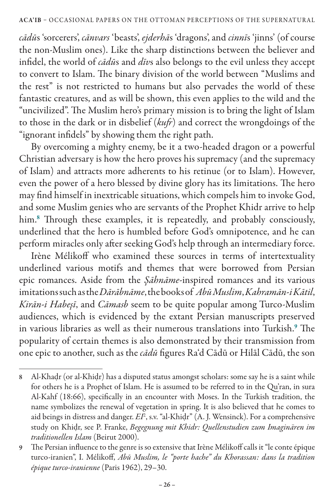*cādū*s 'sorcerers', *cānvars* 'beasts', *ejderhā*s 'dragons', and *cinnī*s 'jinns' (of course the non-Muslim ones). Like the sharp distinctions between the believer and infidel, the world of *cādū*s and *dīv*s also belongs to the evil unless they accept to convert to Islam. The binary division of the world between "Muslims and the rest" is not restricted to humans but also pervades the world of these fantastic creatures, and as will be shown, this even applies to the wild and the "uncivilized". The Muslim hero's primary mission is to bring the light of Islam to those in the dark or in disbelief (*kufr*) and correct the wrongdoings of the "ignorant infidels" by showing them the right path.

By overcoming a mighty enemy, be it a two-headed dragon or a powerful Christian adversary is how the hero proves his supremacy (and the supremacy of Islam) and attracts more adherents to his retinue (or to Islam). However, even the power of a hero blessed by divine glory has its limitations. The hero may find himself in inextricable situations, which compels him to invoke God, and some Muslim genies who are servants of the Prophet Khidr arrive to help him.<sup>8</sup> Through these examples, it is repeatedly, and probably consciously, underlined that the hero is humbled before God's omnipotence, and he can perform miracles only after seeking God's help through an intermediary force.

Irène Mélikoff who examined these sources in terms of intertextuality underlined various motifs and themes that were borrowed from Persian epic romances. Aside from the *Şāhnāme*-inspired romances and its various imitations such as the *Dārābnāme*, the books of *Abū Muslim*, *Kahramān-i Kātil*, *Kirān-i Habeşī*, and *Cāmasb* seem to be quite popular among Turco-Muslim audiences, which is evidenced by the extant Persian manuscripts preserved in various libraries as well as their numerous translations into Turkish.<sup>9</sup> The popularity of certain themes is also demonstrated by their transmission from one epic to another, such as the *cādū* figures Ra'd Cādū or Hilāl Cādū, the son

<sup>8</sup> Al-Khaḍr (or al-Khiḍr) has a disputed status amongst scholars: some say he is a saint while for others he is a Prophet of Islam. He is assumed to be referred to in the Qu'ran, in sura Al-Kahf (18:66), specifically in an encounter with Moses. In the Turkish tradition, the name symbolizes the renewal of vegetation in spring. It is also believed that he comes to aid beings in distress and danger. *EI*<sup>2</sup> , s.v. "al-Khiḍr" (A. J. Wensinck). For a comprehensive study on Khiḍr, see P. Franke, *Begegnung mit Khidr: Quellenstudien zum Imaginären im traditionellen Islam* (Beirut 2000).

<sup>9</sup> The Persian influence to the genre is so extensive that Irène Mélikoff calls it "le conte épique turco-iranien", I. Mélikoff, *Abū Muslim, le "porte hache" du Khorassan: dans la tradition épique turco-iranienne* (Paris 1962), 29–30.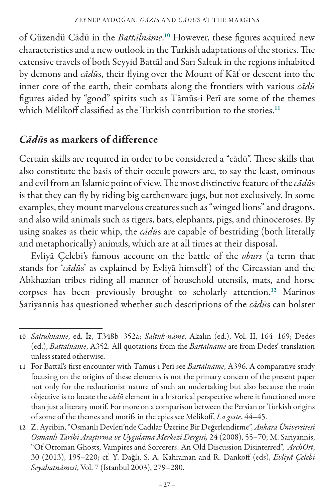of Güzendü Cādū in the *Battālnāme*. <sup>10</sup> However, these figures acquired new characteristics and a new outlook in the Turkish adaptations of the stories. The extensive travels of both Seyyid Battāl and Sarı Saltuk in the regions inhabited by demons and *cādū*s, their flying over the Mount of Kāf or descent into the inner core of the earth, their combats along the frontiers with various *cādū* figures aided by "good" spirits such as Tāmūs-i Perī are some of the themes which Mélikoff classified as the Turkish contribution to the stories.<sup>11</sup>

### *Cādū*s as markers of difference

Certain skills are required in order to be considered a "cādū". These skills that also constitute the basis of their occult powers are, to say the least, ominous and evil from an Islamic point of view. The most distinctive feature of the *cādū*s is that they can fly by riding big earthenware jugs, but not exclusively. In some examples, they mount marvelous creatures such as "winged lions" and dragons, and also wild animals such as tigers, bats, elephants, pigs, and rhinoceroses. By using snakes as their whip, the *cādū*s are capable of bestriding (both literally and metaphorically) animals, which are at all times at their disposal.

Evliyā Çelebi's famous account on the battle of the *oburs* (a term that stands for '*cādū*s' as explained by Evliyā himself ) of the Circassian and the Abkhazian tribes riding all manner of household utensils, mats, and horse corpses has been previously brought to scholarly attention.<sup>12</sup> Marinos Sariyannis has questioned whether such descriptions of the *cādū*s can bolster

<sup>10</sup> *Saltuknāme*, ed. İz, T348b–352a; *Saltuk-nâme*, Akalın (ed.), Vol. II, 164–169; Dedes (ed.), *Battālnāme*, A352. All quotations from the *Battālnāme* are from Dedes' translation unless stated otherwise.

<sup>11</sup> For Battāl's first encounter with Tāmūs-i Perī see *Battālnāme*, A396. A comparative study focusing on the origins of these elements is not the primary concern of the present paper not only for the reductionist nature of such an undertaking but also because the main objective is to locate the *cādū* element in a historical perspective where it functioned more than just a literary motif. For more on a comparison between the Persian or Turkish origins of some of the themes and motifs in the epics see Mélikoff, *La geste*, 44–45.

<sup>12</sup> Z. Aycibin, "Osmanlı Devleti'nde Cadılar Üzerine Bir Değerlendirme", *Ankara Üniversitesi Osmanlı Tarihi Araştırma ve Uygulama Merkezi Dergisi,* 24 (2008), 55–70; M. Sariyannis, "Of Ottoman Ghosts, Vampires and Sorcerers: An Old Discussion Disinterred", *ArchOtt*, 30 (2013), 195–220; cf. Y. Dağlı, S. A. Kahraman and R. Dankoff (eds), *Evliyâ Çelebi Seyahatnâmesi*, Vol. 7 (Istanbul 2003), 279–280.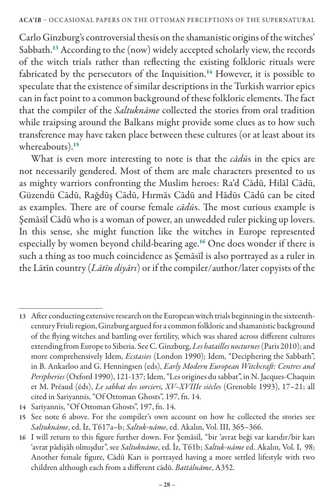#### ACA'IB – OCCASIONAL PAPERS ON THE OTTOMAN PERCEPTIONS OF THE SUPERNATURAL

Carlo Ginzburg's controversial thesis on the shamanistic origins of the witches' Sabbath.<sup>13</sup> According to the (now) widely accepted scholarly view, the records of the witch trials rather than reflecting the existing folkloric rituals were fabricated by the persecutors of the Inquisition.<sup>14</sup> However, it is possible to speculate that the existence of similar descriptions in the Turkish warrior epics can in fact point to a common background of these folkloric elements. The fact that the compiler of the *Saltuknāme* collected the stories from oral tradition while traipsing around the Balkans might provide some clues as to how such transference may have taken place between these cultures (or at least about its whereabouts).<sup>15</sup>

What is even more interesting to note is that the *cādū*s in the epics are not necessarily gendered. Most of them are male characters presented to us as mighty warriors confronting the Muslim heroes: Ra'd Cādū, Hilāl Cādū, Güzendü Cādū, Rağdūş Cādū, Hırmās Cādū and Hādūs Cādū can be cited as examples. There are of course female *cādū*s. The most curious example is Şemāsīl Cādū who is a woman of power, an unwedded ruler picking up lovers. In this sense, she might function like the witches in Europe represented especially by women beyond child-bearing age.<sup>16</sup> One does wonder if there is such a thing as too much coincidence as Şemāsīl is also portrayed as a ruler in the Lātīn country (*Lātīn diyārı*) or if the compiler/author/later copyists of the

<sup>13</sup> After conducting extensive research on the European witch trials beginning in the sixteenthcentury Friuli region, Ginzburg argued for a common folkloric and shamanistic background of the flying witches and battling over fertility, which was shared across different cultures extending from Europe to Siberia. See C. Ginzburg, *Les batailles nocturnes* (Paris 2010); and more comprehensively Idem, *Ecstasies* (London 1990); Idem, "Deciphering the Sabbath", in B. Ankarloo and G. Henningsen (eds), *Early Modern European Witchcraft: Centres and Peripheries* (Oxford 1990), 121-137; Idem, "Les origines du sabbat", in N. Jacques-Chaquin et M. Préaud (éds), *Le sabbat des sorciers, XV–XVIIIe siècles* (Grenoble 1993), 17–21; all cited in Sariyannis, "Of Ottoman Ghosts", 197, fn. 14.

<sup>14</sup> Sariyannis, "Of Ottoman Ghosts", 197, fn. 14.

<sup>15</sup> See note 6 above. For the compiler's own account on how he collected the stories see *Saltuknāme*, ed. İz, T617a–b; *Saltuk-nâme*, ed. Akalın, Vol. III, 365–366.

<sup>16</sup> I will return to this figure further down. For Şemāsīl, "bir 'avrat beği var karıdır/bir karı 'avrat pādişāh olmışdur", see *Saltuknāme*, ed. İz, T61b; *Saltuk-nâme* ed. Akalın, Vol. I, 98; Another female figure, Cādū Karı is portrayed having a more settled lifestyle with two children although each from a different cādū. *Battālnāme*, A352.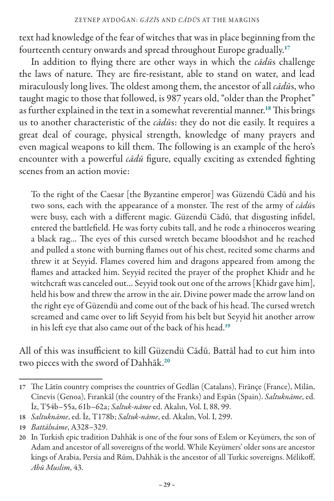text had knowledge of the fear of witches that was in place beginning from the fourteenth century onwards and spread throughout Europe gradually.<sup>17</sup>

In addition to flying there are other ways in which the *cādū*s challenge the laws of nature. They are fire-resistant, able to stand on water, and lead miraculously long lives. The oldest among them, the ancestor of all *cādū*s, who taught magic to those that followed, is 987 years old, "older than the Prophet" as further explained in the text in a somewhat reverential manner.<sup>18</sup> This brings us to another characteristic of the *cādū*s: they do not die easily. It requires a great deal of courage, physical strength, knowledge of many prayers and even magical weapons to kill them. The following is an example of the hero's encounter with a powerful *cādū* figure, equally exciting as extended fighting scenes from an action movie:

To the right of the Caesar [the Byzantine emperor] was Güzendü Cādū and his two sons, each with the appearance of a monster. The rest of the army of *cādū*s were busy, each with a different magic. Güzendü Cādū, that disgusting infidel, entered the battlefield. He was forty cubits tall, and he rode a rhinoceros wearing a black rag… The eyes of this cursed wretch became bloodshot and he reached and pulled a stone with burning flames out of his chest, recited some charms and threw it at Seyyid. Flames covered him and dragons appeared from among the flames and attacked him. Seyyid recited the prayer of the prophet Khidr and he witchcraft was canceled out… Seyyid took out one of the arrows [Khidr gave him], held his bow and threw the arrow in the air. Divine power made the arrow land on the right eye of Güzendü and come out of the back of his head. The cursed wretch screamed and came over to lift Seyyid from his belt but Seyyid hit another arrow in his left eye that also came out of the back of his head.<sup>19</sup>

All of this was insufficient to kill Güzendü Cādū. Battāl had to cut him into two pieces with the sword of Dahhāk.<sup>20</sup>

<sup>17</sup> The Lātīn country comprises the countries of Gedlān (Catalans), Firānçe (France), Milān, Cīnevis (Genoa), Fırankāl (the country of the Franks) and Espān (Spain). *Saltuknāme*, ed. İz, T54b–55a, 61b–62a; *Saltuk-nâme* ed. Akalın, Vol. I, 88, 99.

<sup>18</sup> *Saltuknāme*, ed. İz, T178b; *Saltuk-nâme*, ed. Akalın, Vol. I, 299.

<sup>19</sup> *Battālnāme*, A328–329.

<sup>20</sup> In Turkish epic tradition Dahhāk is one of the four sons of Eslem or Keyümers, the son of Adam and ancestor of all sovereigns of the world. While Keyümers' older sons are ancestor kings of Arabia, Persia and Rūm, Dahhāk is the ancestor of all Turkic sovereigns. Mélikoff, *Abū Muslim*, 43.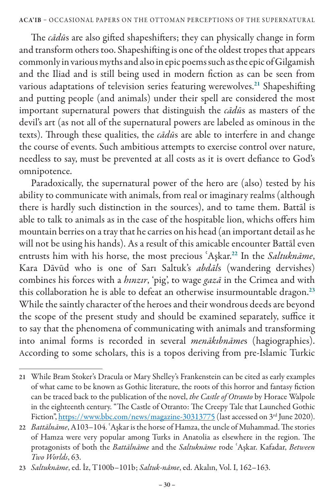The *cādū*s are also gifted shapeshifters; they can physically change in form and transform others too. Shapeshifting is one of the oldest tropes that appears commonly in various myths and also in epic poems such as the epic of Gilgamish and the Iliad and is still being used in modern fiction as can be seen from various adaptations of television series featuring werewolves.<sup>21</sup> Shapeshifting and putting people (and animals) under their spell are considered the most important supernatural powers that distinguish the *cādū*s as masters of the devil's art (as not all of the supernatural powers are labeled as ominous in the texts). Through these qualities, the *cādū*s are able to interfere in and change the course of events. Such ambitious attempts to exercise control over nature, needless to say, must be prevented at all costs as it is overt defiance to God's omnipotence.

Paradoxically, the supernatural power of the hero are (also) tested by his ability to communicate with animals, from real or imaginary realms (although there is hardly such distinction in the sources), and to tame them. Battāl is able to talk to animals as in the case of the hospitable lion, whichs offers him mountain berries on a tray that he carries on his head (an important detail as he will not be using his hands). As a result of this amicable encounter Battāl even entrusts him with his horse, the most precious ʿAşkar.<sup>22</sup> In the *Saltuknāme*, Kara Dāvūd who is one of Sarı Saltuk's *abdāl*s (wandering dervishes) combines his forces with a *hınzır*, 'pig', to wage *gazā* in the Crimea and with this collaboration he is able to defeat an otherwise insurmountable dragon.<sup>23</sup> While the saintly character of the heroes and their wondrous deeds are beyond the scope of the present study and should be examined separately, suffice it to say that the phenomena of communicating with animals and transforming into animal forms is recorded in several *menākıbnāme*s (hagiographies). According to some scholars, this is a topos deriving from pre-Islamic Turkic

<sup>21</sup> While Bram Stoker's Dracula or Mary Shelley's Frankenstein can be cited as early examples of what came to be known as Gothic literature, the roots of this horror and fantasy fiction can be traced back to the publication of the novel, *the Castle of Otranto* by Horace Walpole in the eighteenth century. "The Castle of Otranto: The Creepy Tale that Launched Gothic Fiction", https://www.bbc.com/news/magazine-30313775 (last accessed on 3<sup>rd</sup> June 2020).

<sup>22</sup> *Battālnāme*, A103–104. ʿAşkar is the horse of Hamza, the uncle of Muhammad. The stories of Hamza were very popular among Turks in Anatolia as elsewhere in the region. The protagonists of both the *Battālnāme* and the *Saltuknāme* rode ʿAşkar. Kafadar, *Between Two Worlds*, 63.

<sup>23</sup> *Saltuknāme*, ed. İz, T100b–101b; *Saltuk-nâme*, ed. Akalın, Vol. I, 162–163.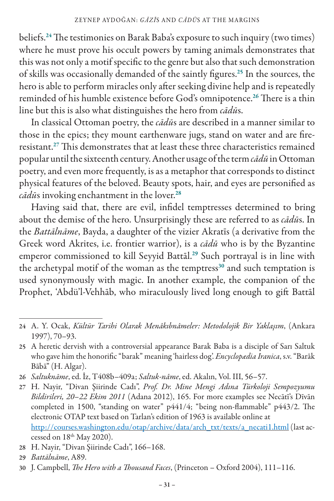beliefs.<sup>24</sup> The testimonies on Barak Baba's exposure to such inquiry (two times) where he must prove his occult powers by taming animals demonstrates that this was not only a motif specific to the genre but also that such demonstration of skills was occasionally demanded of the saintly figures.<sup>25</sup> In the sources, the hero is able to perform miracles only after seeking divine help and is repeatedly reminded of his humble existence before God's omnipotence.<sup>26</sup> There is a thin line but this is also what distinguishes the hero from *cādū*s.

In classical Ottoman poetry, the *cādū*s are described in a manner similar to those in the epics; they mount earthenware jugs, stand on water and are fireresistant.<sup>27</sup> This demonstrates that at least these three characteristics remained popular until the sixteenth century. Another usage of the term *cādū* in Ottoman poetry, and even more frequently, is as a metaphor that corresponds to distinct physical features of the beloved. Beauty spots, hair, and eyes are personified as *cādū*s invoking enchantment in the lover.<sup>28</sup>

Having said that, there are evil, infidel temptresses determined to bring about the demise of the hero. Unsurprisingly these are referred to as *cādū*s. In the *Battālnāme*, Bayda, a daughter of the vizier Akratīs (a derivative from the Greek word Akrites, i.e. frontier warrior), is a *cādū* who is by the Byzantine emperor commissioned to kill Seyyid Battāl.<sup>29</sup> Such portrayal is in line with the archetypal motif of the woman as the temptress $30$  and such temptation is used synonymously with magic. In another example, the companion of the Prophet, 'Abdü'l-Vehhāb, who miraculously lived long enough to gift Battāl

26 *Saltuknāme*, ed. İz, T408b–409a; *Saltuk-nâme*, ed. Akalın, Vol. III, 56–57.

27 H. Nayir, "Divan Şiirinde Cadı", *Prof. Dr. Mine Mengi Adına Türkoloji Sempozyumu Bildirileri, 20*–*22 Ekim 2011* (Adana 2012), 165. For more examples see Necātī's Dīvān completed in 1500, "standing on water" p441/4; "being non-flammable" p443/2. The electronic OTAP text based on Tarlan's edition of 1963 is available online at http://courses.washington.edu/otap/archive/data/arch\_txt/texts/a\_necati1.html (last accessed on  $18<sup>th</sup>$  May 2020).

<sup>24</sup> A. Y. Ocak, *Kültür Tarihi Olarak Menâkıbnâmeler: Metodolojik Bir Yaklaşım*, (Ankara 1997), 70–93.

<sup>25</sup> A heretic dervish with a controversial appearance Barak Baba is a disciple of Sarı Saltuk who gave him the honorific "barak" meaning 'hairless dog'. *Encyclopædia Iranica*, s.v. "Barāk Bābā" (H. Algar).

<sup>28</sup> H. Nayir, "Divan Şiirinde Cadı", 166–168.

<sup>29</sup> *Battālnāme*, A89.

<sup>30</sup> J. Campbell, *The Hero with a Thousand Faces*, (Princeton – Oxford 2004), 111–116.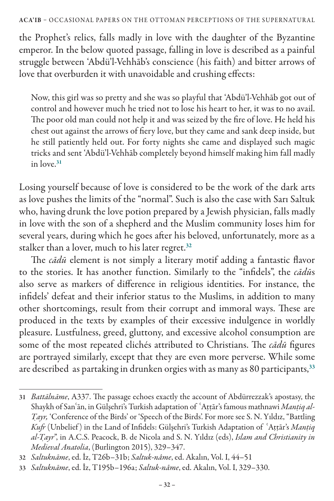#### ACA'IB – OCCASIONAL PAPERS ON THE OTTOMAN PERCEPTIONS OF THE SUPERNATURAL

the Prophet's relics, falls madly in love with the daughter of the Byzantine emperor. In the below quoted passage, falling in love is described as a painful struggle between 'Abdü'l-Vehhāb's conscience (his faith) and bitter arrows of love that overburden it with unavoidable and crushing effects:

Now, this girl was so pretty and she was so playful that 'Abdü'l-Vehhāb got out of control and however much he tried not to lose his heart to her, it was to no avail. The poor old man could not help it and was seized by the fire of love. He held his chest out against the arrows of fiery love, but they came and sank deep inside, but he still patiently held out. For forty nights she came and displayed such magic tricks and sent 'Abdü'l-Vehhāb completely beyond himself making him fall madly in love.<sup>31</sup>

Losing yourself because of love is considered to be the work of the dark arts as love pushes the limits of the "normal". Such is also the case with Sarı Saltuk who, having drunk the love potion prepared by a Jewish physician, falls madly in love with the son of a shepherd and the Muslim community loses him for several years, during which he goes after his beloved, unfortunately, more as a stalker than a lover, much to his later regret.<sup>32</sup>

The *cādū* element is not simply a literary motif adding a fantastic flavor to the stories. It has another function. Similarly to the "infidels", the *cādū*s also serve as markers of difference in religious identities. For instance, the infidels' defeat and their inferior status to the Muslims, in addition to many other shortcomings, result from their corrupt and immoral ways. These are produced in the texts by examples of their excessive indulgence in worldly pleasure. Lustfulness, greed, gluttony, and excessive alcohol consumption are some of the most repeated clichés attributed to Christians. The *cādū* figures are portrayed similarly, except that they are even more perverse. While some are described as partaking in drunken orgies with as many as 80 participants,<sup>33</sup>

<sup>31</sup> *Battālnāme*, A337. The passage echoes exactly the account of Abdürrezzak's apostasy, the Shaykh of San'ān, in Gülşehri's Turkish adaptation of 'Attār's famous mathnawi *Mantiq al-Ṭayr,* 'Conference of the Birds' or 'Speech of the Birds'. For more see S. N. Yıldız, "Battling *Kufr* (Unbelief) in the Land of Infidels: Gülşehri's Turkish Adaptation of 'Attār's Mantiq *al-Ṭayr*", in A.C.S. Peacock, B. de Nicola and S. N. Yıldız (eds), *Islam and Christianity in Medieval Anatolia*, (Burlington 2015), 329–347.

<sup>32</sup> *Saltuknāme*, ed. İz, T26b–31b; *Saltuk-nâme*, ed. Akalın, Vol. I, 44–51

<sup>33</sup> *Saltuknāme*, ed. İz, T195b–196a; *Saltuk-nâme*, ed. Akalın, Vol. I, 329–330.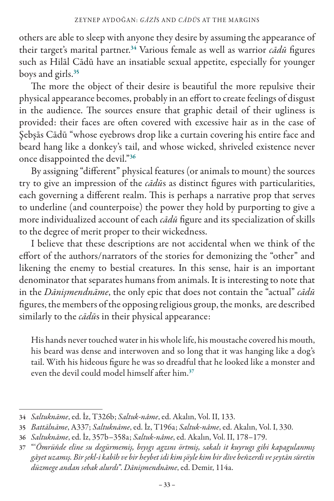others are able to sleep with anyone they desire by assuming the appearance of their target's marital partner.<sup>34</sup> Various female as well as warrior *cādū* figures such as Hilāl Cādū have an insatiable sexual appetite, especially for younger boys and girls.<sup>35</sup>

The more the object of their desire is beautiful the more repulsive their physical appearance becomes, probably in an effort to create feelings of disgust in the audience. The sources ensure that graphic detail of their ugliness is provided: their faces are often covered with excessive hair as in the case of Şebşās Cādū "whose eyebrows drop like a curtain covering his entire face and beard hang like a donkey's tail, and whose wicked, shriveled existence never once disappointed the devil."<sup>36</sup>

By assigning "different" physical features (or animals to mount) the sources try to give an impression of the *cādū*s as distinct figures with particularities, each governing a different realm. This is perhaps a narrative prop that serves to underline (and counterpoise) the power they hold by purporting to give a more individualized account of each *cādū* figure and its specialization of skills to the degree of merit proper to their wickedness.

I believe that these descriptions are not accidental when we think of the effort of the authors/narrators of the stories for demonizing the "other" and likening the enemy to bestial creatures. In this sense, hair is an important denominator that separates humans from animals. It is interesting to note that in the *Dānişmendnāme*, the only epic that does not contain the "actual" *cādū* figures, the members of the opposing religious group, the monks, are described similarly to the *cādū*s in their physical appearance:

His hands never touched water in his whole life, his moustache covered his mouth, his beard was dense and interwoven and so long that it was hanging like a dog's tail. With his hideous figure he was so dreadful that he looked like a monster and even the devil could model himself after him<sup>37</sup>

<sup>34</sup> *Saltuknāme*, ed. İz, T326b; *Saltuk-nâme*, ed. Akalın, Vol. II, 133.

<sup>35</sup> *Battālnāme*, A337; *Saltuknāme*, ed. İz, T196a; *Saltuk-nâme*, ed. Akalın, Vol. I, 330.

<sup>36</sup> *Saltuknāme*, ed. İz, 357b–358a; *Saltuk-nâme*, ed. Akalın, Vol. II, 178–179.

<sup>37</sup> "'*Ömrüñde eline su degürmemiş, bıyıgı agzını örtmiş, sakalı it kuyrugı gibi kapagulanmış gāyet uzamış. Bir şekl-i kabīh ve bir heybet idi kim şöyle kim bir dīve beñzerdi ve şeytān sūretin düzmege andan sebak alurdı*". *Dānişmendnāme*, ed. Demir, 114a.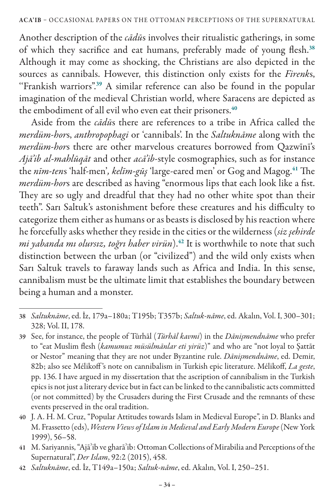Another description of the *cādū*s involves their ritualistic gatherings, in some of which they sacrifice and eat humans, preferably made of young flesh.<sup>38</sup> Although it may come as shocking, the Christians are also depicted in the sources as cannibals. However, this distinction only exists for the *Firenk*s, "Frankish warriors".<sup>39</sup> A similar reference can also be found in the popular imagination of the medieval Christian world, where Saracens are depicted as the embodiment of all evil who even eat their prisoners.<sup>40</sup>

Aside from the *cādū*s there are references to a tribe in Africa called the *merdüm-hor*s, *anthropophagi* or 'cannibals'. In the *Saltuknāme* along with the *merdüm-hor*s there are other marvelous creatures borrowed from Qazwīnī's *Ajā'ib al-mahlūqāt* and other *acā'ib*-style cosmographies, such as for instance the *nīm-ten*s 'half-men'*, kelīm-gūş* 'large-eared men' or Gog and Magog.<sup>41</sup> The *merdüm-hor*s are described as having "enormous lips that each look like a fist. They are so ugly and dreadful that they had no other white spot than their teeth". Sarı Saltuk's astonishment before these creatures and his difficulty to categorize them either as humans or as beasts is disclosed by his reaction where he forcefully asks whether they reside in the cities or the wilderness (*siz şehirde mi yabanda mı olursız, toğrı haber virün*).<sup>42</sup> It is worthwhile to note that such distinction between the urban (or "civilized") and the wild only exists when Sarı Saltuk travels to faraway lands such as Africa and India. In this sense, cannibalism must be the ultimate limit that establishes the boundary between being a human and a monster.

<sup>38</sup> *Saltuknāme*, ed. İz, 179a–180a; T195b; T357b; *Saltuk-nâme*,ed. Akalın, Vol. I, 300–301; 328; Vol. II, 178.

<sup>39</sup> See, for instance, the people of Tūrhāl (*Tūrhāl kavmi*) in the *Dānişmendnāme* who prefer to "eat Muslim flesh (*kamumuz müsülmānlar eti yirüz*)" and who are "not loyal to Şattāt or Nestor" meaning that they are not under Byzantine rule. *Dānişmendnāme*, ed. Demir, 82b; also see Mélikoff 's note on cannibalism in Turkish epic literature. Mélikoff, *La geste*, pp. 136. I have argued in my dissertation that the ascription of cannibalism in the Turkish epics is not just a literary device but in fact can be linked to the cannibalistic acts committed (or not committed) by the Crusaders during the First Crusade and the remnants of these events preserved in the oral tradition.

<sup>40</sup> J. A. H. M. Cruz, "Popular Attitudes towards Islam in Medieval Europe", in D. Blanks and M. Frassetto (eds), *Western Views of Islam in Medieval and Early Modern Europe* (New York 1999), 56–58.

<sup>41</sup> M. Sariyannis, "Ajāʾib ve gharāʾib: Ottoman Collections of Mirabilia and Perceptions of the Supernatural", *Der Islam*, 92:2 (2015), 458.

<sup>42</sup> *Saltuknāme*, ed. İz, T149a–150a; *Saltuk-nâme*, ed. Akalın, Vol. I, 250–251.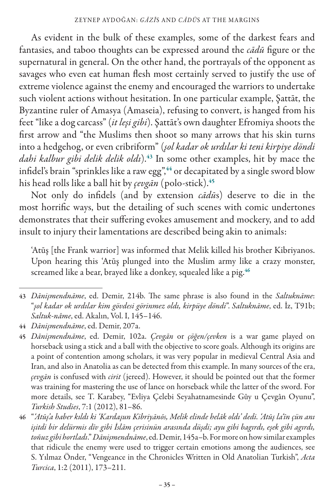As evident in the bulk of these examples, some of the darkest fears and fantasies, and taboo thoughts can be expressed around the *cādū* figure or the supernatural in general. On the other hand, the portrayals of the opponent as savages who even eat human flesh most certainly served to justify the use of extreme violence against the enemy and encouraged the warriors to undertake such violent actions without hesitation. In one particular example, Şattāt, the Byzantine ruler of Amasya (Amaseia), refusing to convert, is hanged from his feet "like a dog carcass" (*it leşi gibi*). Şattāt's own daughter Efromiya shoots the first arrow and "the Muslims then shoot so many arrows that his skin turns into a hedgehog, or even cribriform" (*şol kadar ok urdılar ki teni kirpiye döndi dahi kalbur gibi delik delik oldı*).<sup>43</sup> In some other examples, hit by mace the infidel's brain "sprinkles like a raw egg", <sup>44</sup> or decapitated by a single sword blow his head rolls like a ball hit by *çevgān* (polo-stick).<sup>45</sup>

Not only do infidels (and by extension *cādū*s) deserve to die in the most horrific ways, but the detailing of such scenes with comic undertones demonstrates that their suffering evokes amusement and mockery, and to add insult to injury their lamentations are described being akin to animals:

'Atūş [the Frank warrior] was informed that Melik killed his brother Kibriyanos. Upon hearing this 'Atūş plunged into the Muslim army like a crazy monster, screamed like a bear, brayed like a donkey, squealed like a pig.<sup>46</sup>

<sup>43</sup> *Dānişmendnāme*, ed. Demir, 214b. The same phrase is also found in the *Saltuknāme*: "*şol kadar ok urdılar kim gövdesi görinmez oldı, kirpüye döndi*". *Saltuknāme*, ed. İz, T91b; *Saltuk-nâme*, ed. Akalın, Vol. I, 145–146.

<sup>44</sup> *Dānişmendnāme*, ed. Demir, 207a.

<sup>45</sup> *Dānişmendnāme*, ed. Demir, 102a. *Çevgān* or *çöğen/çevken* is a war game played on horseback using a stick and a ball with the objective to score goals. Although its origins are a point of contention among scholars, it was very popular in medieval Central Asia and Iran, and also in Anatolia as can be detected from this example. In many sources of the era, *çevgān* is confused with *cirit* (jereed). However, it should be pointed out that the former was training for mastering the use of lance on horseback while the latter of the sword. For more details, see T. Karabey, "Evliya Çelebi Seyahatnamesinde Gûy u Çevgân Oyunu", *Turkish Studies*, 7:1 (2012), 81–86.

<sup>46</sup> "*'Atūş'a haber kıldı ki 'Kardaşun Kibriyānōs, Melik elinde helāk oldı' dedi. 'Atūş la'īn çün anı işitdi bir delürmis dīv gibi İslām çerisinün arasında düşdi; ayu gibi bagırdı, eşek gibi agırdı, toñuz gibi hortladı*." *Dānişmendnāme*, ed. Demir, 145a–b. For more on how similar examples that ridicule the enemy were used to trigger certain emotions among the audiences, see S. Yılmaz Önder, "Vengeance in the Chronicles Written in Old Anatolian Turkish", *Acta Turcica*, 1:2 (2011), 173–211.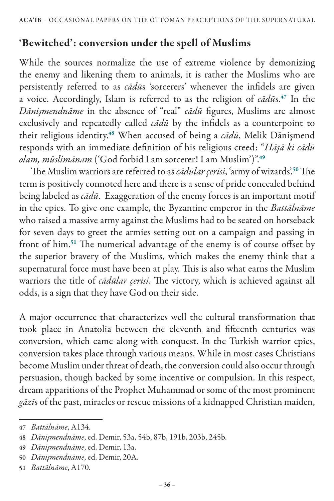## 'Bewitched': conversion under the spell of Muslims

While the sources normalize the use of extreme violence by demonizing the enemy and likening them to animals, it is rather the Muslims who are persistently referred to as *cādū*s 'sorcerers' whenever the infidels are given a voice. Accordingly, Islam is referred to as the religion of *cādū*s.<sup>47</sup> In the *Dānişmendnāme* in the absence of "real" *cādū* figures, Muslims are almost exclusively and repeatedly called *cādū* by the infidels as a counterpoint to their religious identity.<sup>48</sup> When accused of being a *cādū*, Melik Dānişmend responds with an immediate definition of his religious creed: "*Hāşā ki cādū olam, müslimānam* ('God forbid I am sorcerer! I am Muslim')".<sup>49</sup>

The Muslim warriors are referred to as *cādūlar çerisi*, 'army of wizards'.<sup>50</sup> The term is positively connoted here and there is a sense of pride concealed behind being labeled as *cādū*. Exaggeration of the enemy forces is an important motif in the epics. To give one example, the Byzantine emperor in the *Battālnāme* who raised a massive army against the Muslims had to be seated on horseback for seven days to greet the armies setting out on a campaign and passing in front of him.<sup>51</sup> The numerical advantage of the enemy is of course offset by the superior bravery of the Muslims, which makes the enemy think that a supernatural force must have been at play. This is also what earns the Muslim warriors the title of *cādūlar çerisi*. The victory, which is achieved against all odds, is a sign that they have God on their side.

A major occurrence that characterizes well the cultural transformation that took place in Anatolia between the eleventh and fifteenth centuries was conversion, which came along with conquest. In the Turkish warrior epics, conversion takes place through various means. While in most cases Christians become Muslim under threat of death, the conversion could also occur through persuasion, though backed by some incentive or compulsion. In this respect, dream apparitions of the Prophet Muhammad or some of the most prominent *gāzī*s of the past, miracles or rescue missions of a kidnapped Christian maiden,

<sup>47</sup> *Battālnāme*, A134.

<sup>48</sup> *Dānişmendnāme*, ed. Demir, 53a, 54b, 87b, 191b, 203b, 245b.

<sup>49</sup> *Dānişmendnāme*, ed. Demir, 13a.

<sup>50</sup> *Dānişmendnāme*, ed. Demir, 20A.

<sup>51</sup> *Battālnāme*, A170.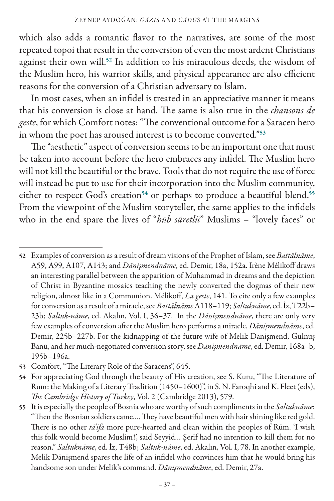which also adds a romantic flavor to the narratives, are some of the most repeated topoi that result in the conversion of even the most ardent Christians against their own will.<sup>52</sup> In addition to his miraculous deeds, the wisdom of the Muslim hero, his warrior skills, and physical appearance are also efficient reasons for the conversion of a Christian adversary to Islam.

In most cases, when an infidel is treated in an appreciative manner it means that his conversion is close at hand. The same is also true in the *chansons de geste*, for which Comfort notes: "The conventional outcome for a Saracen hero in whom the poet has aroused interest is to become converted."<sup>53</sup>

The "aesthetic" aspect of conversion seems to be an important one that must be taken into account before the hero embraces any infidel. The Muslim hero will not kill the beautiful or the brave. Tools that do not require the use of force will instead be put to use for their incorporation into the Muslim community, either to respect God's creation<sup>54</sup> or perhaps to produce a beautiful blend.<sup>55</sup> From the viewpoint of the Muslim storyteller, the same applies to the infidels who in the end spare the lives of "*hūb sūretlü*" Muslims – "lovely faces" or

53 Comfort, "The Literary Role of the Saracens", 645.

<sup>52</sup> Examples of conversion as a result of dream visions of the Prophet of Islam, see *Battālnāme*, A59, A99, A107, A143; and *Dānişmendnāme*, ed. Demir, 18a, 152a. Irène Mélikoff draws an interesting parallel between the apparition of Muhammad in dreams and the depiction of Christ in Byzantine mosaics teaching the newly converted the dogmas of their new religion, almost like in a Communion. Mélikoff, *La geste*, 141. To cite only a few examples for conversion as a result of a miracle, see *Battālnāme* A118–119; *Saltuknāme*, ed. İz, T22b– 23b; *Saltuk-nâme*, ed. Akalın, Vol. I, 36–37. In the *Dānişmendnāme*, there are only very few examples of conversion after the Muslim hero performs a miracle. *Dānişmendnāme*, ed. Demir, 225b–227b. For the kidnapping of the future wife of Melik Dānişmend, Gülnūş Bānū, and her much-negotiated conversion story, see *Dānişmendnāme*, ed. Demir, 168a–b, 195b–196a.

<sup>54</sup> For appreciating God through the beauty of His creation, see S. Kuru, "The Literature of Rum: the Making of a Literary Tradition (1450–1600)", in S. N. Faroqhi and K. Fleet (eds), *The Cambridge History of Turkey*, Vol. 2 (Cambridge 2013), 579.

<sup>55</sup> It is especially the people of Bosnia who are worthy of such compliments in the *Saltuknāme*: "Then the Bosnian soldiers came…. They have beautiful men with hair shining like red gold. There is no other *tā'ifa* more pure-hearted and clean within the peoples of Rūm. 'I wish this folk would become Muslim!', said Seyyid… Şerīf had no intention to kill them for no reason." *Saltuknāme*, ed. İz, T48b; *Saltuk-nâme*, ed. Akalın, Vol. I, 78. In another example, Melik Dānişmend spares the life of an infidel who convinces him that he would bring his handsome son under Melik's command. *Dānişmendnāme*, ed. Demir, 27a.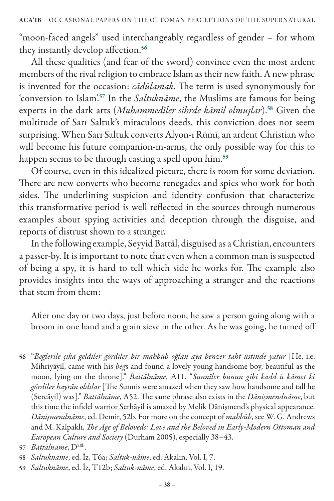"moon-faced angels" used interchangeably regardless of gender – for whom they instantly develop affection.<sup>56</sup>

All these qualities (and fear of the sword) convince even the most ardent members of the rival religion to embrace Islam as their new faith. A new phrase is invented for the occasion: *cādūlamak*. The term is used synonymously for 'conversion to Islam'.<sup>57</sup> In the *Saltuknāme*, the Muslims are famous for being experts in the dark arts (*Muhammedīler sihrde kāmil olmuşlar*).<sup>58</sup> Given the multitude of Sarı Saltuk's miraculous deeds, this conviction does not seem surprising. When Sarı Saltuk converts Alyon-ı Rūmī, an ardent Christian who will become his future companion-in-arms, the only possible way for this to happen seems to be through casting a spell upon him.<sup>59</sup>

Of course, even in this idealized picture, there is room for some deviation. There are new converts who become renegades and spies who work for both sides. The underlining suspicion and identity confusion that characterize this transformative period is well reflected in the sources through numerous examples about spying activities and deception through the disguise, and reports of distrust shown to a stranger.

In the following example, Seyyid Battāl, disguised as a Christian, encounters a passer-by. It is important to note that even when a common man is suspected of being a spy, it is hard to tell which side he works for. The example also provides insights into the ways of approaching a stranger and the reactions that stem from them:

After one day or two days, just before noon, he saw a person going along with a broom in one hand and a grain sieve in the other. As he was going, he turned off

<sup>56</sup> "*Beglerile çıka geldiler gördiler bir mahbūb oğlan aya benzer taht üstinde yatur* [He, i.e. Mihriyāyīl, came with his *beg*s and found a lovely young handsome boy, beautiful as the moon, lying on the throne]." *Battālnāme*, A11. "*Sunnīler bunun gibi kadd ü kāmet ki gördiler hayrān oldılar* [The Sunnis were amazed when they saw how handsome and tall he (Sercāyil) was]." *Battālnāme*, A52. The same phrase also exists in the *Dānişmendnāme*, but this time the infidel warrior Serhāyil is amazed by Melik Dānişmend's physical appearance. *Dānişmendnāme*, ed. Demir, 52b. For more on the concept of *mahbūb*, see W. G. Andrews and M. Kalpaklı, *The Age of Beloveds: Love and the Beloved in Early-Modern Ottoman and European Culture and Society* (Durham 2005), especially 38–43.

<sup>57</sup> *Battālnāme*, D28b.

<sup>58</sup> *Saltuknāme*, ed. İz, T6a; *Saltuk-nâme*, ed. Akalın, Vol. I, 7.

<sup>59</sup> *Saltuknāme*, ed. İz, T12b; *Saltuk-nâme*, ed. Akalın, Vol. I, 19.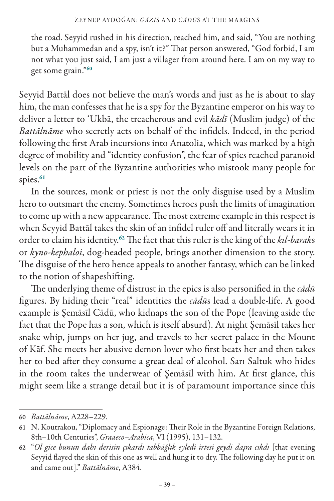the road. Seyyid rushed in his direction, reached him, and said, "You are nothing but a Muhammedan and a spy, isn't it?" That person answered, "God forbid, I am not what you just said, I am just a villager from around here. I am on my way to get some grain."<sup>60</sup>

Seyyid Battāl does not believe the man's words and just as he is about to slay him, the man confesses that he is a spy for the Byzantine emperor on his way to deliver a letter to 'Ukbā, the treacherous and evil *kādī* (Muslim judge) of the *Battālnāme* who secretly acts on behalf of the infidels. Indeed, in the period following the first Arab incursions into Anatolia, which was marked by a high degree of mobility and "identity confusion", the fear of spies reached paranoid levels on the part of the Byzantine authorities who mistook many people for spies.<sup>61</sup>

In the sources, monk or priest is not the only disguise used by a Muslim hero to outsmart the enemy. Sometimes heroes push the limits of imagination to come up with a new appearance. The most extreme example in this respect is when Seyyid Battāl takes the skin of an infidel ruler off and literally wears it in order to claim his identity.<sup>62</sup> The fact that this ruler is the king of the *kıl-barak*s or *kyno-kephaloi*, dog-headed people, brings another dimension to the story. The disguise of the hero hence appeals to another fantasy, which can be linked to the notion of shapeshifting.

The underlying theme of distrust in the epics is also personified in the *cādū* figures. By hiding their "real" identities the *cādū*s lead a double-life. A good example is Şemāsīl Cādū, who kidnaps the son of the Pope (leaving aside the fact that the Pope has a son, which is itself absurd). At night Şemāsīl takes her snake whip, jumps on her jug, and travels to her secret palace in the Mount of Kāf. She meets her abusive demon lover who first beats her and then takes her to bed after they consume a great deal of alcohol. Sarı Saltuk who hides in the room takes the underwear of Şemāsīl with him. At first glance, this might seem like a strange detail but it is of paramount importance since this

<sup>60</sup> *Battālnāme*, A228–229.

<sup>61</sup> N. Koutrakou, "Diplomacy and Espionage: Their Role in the Byzantine Foreign Relations, 8th–10th Centuries", *Graaeco–Arabica*, VI (1995), 131–132.

<sup>62</sup> "*Ol gice bunun dahı derisin çıkardı tabbāğlık eyledi irtesi geydi daşra cıkdı* [that evening Seyyid flayed the skin of this one as well and hung it to dry. The following day he put it on and came out]." *Battālnāme*, A384.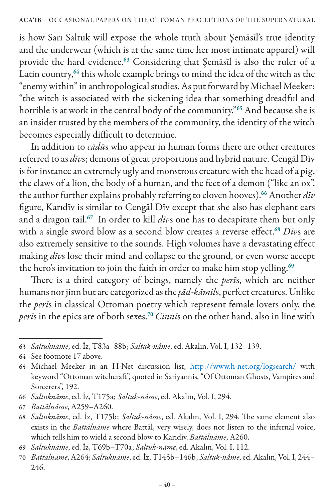is how Sarı Saltuk will expose the whole truth about Şemāsīl's true identity and the underwear (which is at the same time her most intimate apparel) will provide the hard evidence.<sup>63</sup> Considering that Şemāsīl is also the ruler of a Latin country,<sup>64</sup> this whole example brings to mind the idea of the witch as the "enemy within" in anthropological studies. As put forward by Michael Meeker: "the witch is associated with the sickening idea that something dreadful and horrible is at work in the central body of the community."<sup>65</sup> And because she is an insider trusted by the members of the community, the identity of the witch becomes especially difficult to determine.

In addition to *cādū*s who appear in human forms there are other creatures referred to as *dīv*s; demons of great proportions and hybrid nature. Cengāl Dīv is for instance an extremely ugly and monstrous creature with the head of a pig, the claws of a lion, the body of a human, and the feet of a demon ("like an ox", the author further explains probably referring to cloven hooves).<sup>66</sup> Another *dīv* figure, Karıdīv is similar to Cengāl Dīv except that she also has elephant ears and a dragon tail.<sup>67</sup> In order to kill *dīv*s one has to decapitate them but only with a single sword blow as a second blow creates a reverse effect.<sup>68</sup> Divs are also extremely sensitive to the sounds. High volumes have a devastating effect making *dīv*s lose their mind and collapse to the ground, or even worse accept the hero's invitation to join the faith in order to make him stop yelling.<sup>69</sup>

There is a third category of beings, namely the *perī*s, which are neither humans nor jinn but are categorized as the *şād-kāmil*s, perfect creatures. Unlike the *perī*s in classical Ottoman poetry which represent female lovers only, the *perī*s in the epics are of both sexes.<sup>70</sup> *Cinnī*s on the other hand, also in line with

<sup>63</sup> *Saltuknāme*, ed. İz, T83a–88b; *Saltuk-nâme*, ed. Akalın, Vol. I, 132–139.

<sup>64</sup> See footnote 17 above.

<sup>65</sup> Michael Meeker in an H-Net discussion list, http://www.h-net.org/logsearch/ with keyword "Ottoman witchcraft", quoted in Sariyannis, "Of Ottoman Ghosts, Vampires and Sorcerers", 192.

<sup>66</sup> *Saltuknāme*, ed. İz, T175a; *Saltuk-nâme*, ed. Akalın, Vol. I, 294.

<sup>67</sup> *Battālnāme*, A259–A260.

<sup>68</sup> *Saltuknāme*, ed. İz, T175b; *Saltuk-nâme*, ed. Akalın, Vol. I, 294. The same element also exists in the *Battālnāme* where Battāl, very wisely, does not listen to the infernal voice, which tells him to wield a second blow to Karıdīv. *Battālnāme*, A260.

<sup>69</sup> *Saltuknāme*, ed. İz, T69b–T70a; *Saltuk-nâme*, ed. Akalın, Vol. I, 112.

<sup>70</sup> *Battālnāme*, A264; *Saltuknāme*, ed. İz, T145b–146b; *Saltuk-nâme*,ed. Akalın, Vol. I, 244– 246.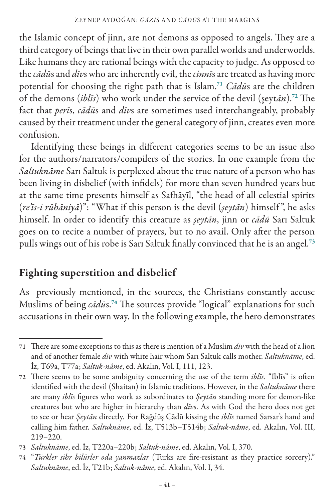the Islamic concept of jinn, are not demons as opposed to angels. They are a third category of beings that live in their own parallel worlds and underworlds. Like humans they are rational beings with the capacity to judge. As opposed to the *cādū*s and *dīv*s who are inherently evil, the *cinnī*s are treated as having more potential for choosing the right path that is Islam.<sup>71</sup> *Cādū*s are the children of the demons (*iblīs*) who work under the service of the devil (şeyt*ān*).<sup>72</sup> The fact that *perī*s, *cādū*s and *dīv*s are sometimes used interchangeably, probably caused by their treatment under the general category of jinn, creates even more confusion.

Identifying these beings in different categories seems to be an issue also for the authors/narrators/compilers of the stories. In one example from the *Saltuknāme* Sarı Saltuk is perplexed about the true nature of a person who has been living in disbelief (with infidels) for more than seven hundred years but at the same time presents himself as Safhāyīl, "the head of all celestial spirits (*re'īs-i rūhāniyā*)": "What if this person is the devil (*şeytān*) himself ", he asks himself. In order to identify this creature as *şeytān*, jinn or *cādū* Sarı Saltuk goes on to recite a number of prayers, but to no avail. Only after the person pulls wings out of his robe is Sarı Saltuk finally convinced that he is an angel.<sup>73</sup>

### Fighting superstition and disbelief

As previously mentioned, in the sources, the Christians constantly accuse Muslims of being *cādū*s.<sup>74</sup> The sources provide "logical" explanations for such accusations in their own way. In the following example, the hero demonstrates

<sup>71</sup> There are some exceptions to this as there is mention of a Muslim *dīv* with the head of a lion and of another female *dīv* with white hair whom Sarı Saltuk calls mother. *Saltuknāme*, ed. İz, T69a, T77a; *Saltuk-nâme*, ed. Akalın, Vol. I, 111, 123.

<sup>72</sup> There seems to be some ambiguity concerning the use of the term *iblīs*. "Iblīs" is often identified with the devil (Shaitan) in Islamic traditions. However, in the *Saltuknāme* there are many *iblīs* figures who work as subordinates to *Şeytān* standing more for demon-like creatures but who are higher in hierarchy than *dīv*s. As with God the hero does not get to see or hear *Şeytān* directly*.* For Rağdūş Cādū kissing the *iblīs* named Sarsar's hand and calling him father*. Saltuknāme*, ed. İz, T513b–T514b; *Saltuk-nâme*, ed. Akalın, Vol. III, 219–220.

<sup>73</sup> *Saltuknāme*, ed. İz, T220a–220b; *Saltuk-nâme*, ed. Akalın, Vol. I, 370.

<sup>74</sup> "*Türkler sihr bilürler oda yanmazlar* (Turks are fire-resistant as they practice sorcery)." *Saltuknāme*, ed. İz, T21b; *Saltuk-nâme*, ed. Akalın, Vol. I, 34.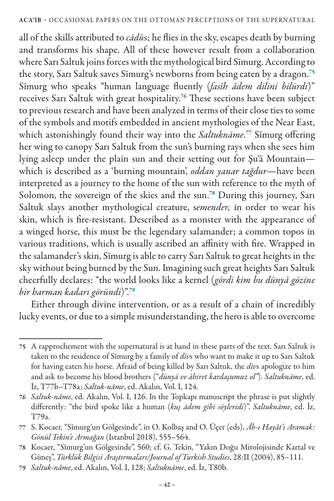all of the skills attributed to *cādū*s; he flies in the sky, escapes death by burning and transforms his shape. All of these however result from a collaboration where Sarı Saltuk joins forces with the mythological bird Sīmurg. According to the story, Sarı Saltuk saves Sīmurg's newborns from being eaten by a dragon.<sup>75</sup> Sīmurg who speaks "human language fluently (*fasīh ādem dilini bilürdi*)" receives Sarı Saltuk with great hospitality.<sup>76</sup> These sections have been subject to previous research and have been analyzed in terms of their close ties to some of the symbols and motifs embedded in ancient mythologies of the Near East, which astonishingly found their way into the *Saltuknāme*. <sup>77</sup> Sīmurg offering her wing to canopy Sarı Saltuk from the sun's burning rays when she sees him lying asleep under the plain sun and their setting out for Şu'ā Mountain which is described as a 'burning mountain', *oddan yanar tağdur*—have been interpreted as a journey to the home of the sun with reference to the myth of Solomon, the sovereign of the skies and the sun.<sup>78</sup> During this journey, Sarı Saltuk slays another mythological creature, s*emender,* in order to wear his skin, which is fire-resistant. Described as a monster with the appearance of a winged horse, this must be the legendary salamander; a common topos in various traditions, which is usually ascribed an affinity with fire. Wrapped in the salamander's skin, Sīmurg is able to carry Sarı Saltuk to great heights in the sky without being burned by the Sun. Imagining such great heights Sarı Saltuk cheerfully declares: "the world looks like a kernel (*gördi kim bu dünyā gözine bir harman kadarı göründi*)".<sup>79</sup>

Either through divine intervention, or as a result of a chain of incredibly lucky events, or due to a simple misunderstanding, the hero is able to overcome

<sup>75</sup> A rapprochement with the supernatural is at hand in these parts of the text. Sarı Saltuk is taken to the residence of Sīmurg by a family of *dīv*s who want to make it up to Sarı Saltuk for having eaten his horse. Afraid of being killed by Sarı Saltuk, the *dīv*s apologize to him and ask to become his blood brothers ("*dünyā ve āhiret kardaşumuz ol"*). *Saltuknāme*, ed. İz, T77b–T78a; *Saltuk-nâme*, ed. Akalın, Vol. I, 124.

<sup>76</sup> *Saltuk-nâme*, ed. Akalın, Vol. I, 126. In the Topkapı manuscript the phrase is put slightly differently: "the bird spoke like a human (*kuş ādem gibi söyleridi*)". *Saltuknāme*, ed. İz, T79a.

<sup>77</sup> S. Kocaer, "Sîmurg'un Gölgesinde", in O. Kolbaş and O. Üçer (eds), *Âb-ı Hayât'ı Aramak: Gönül Tekin'e Armağan* (Istanbul 2018), 555–564.

<sup>78</sup> Kocaer, "Sîmurg'un Gölgesinde", 560; cf. G. Tekin, "Yakın Doğu Mitolojisinde Kartal ve Güneş", *Türklük Bilgisi Araştırmaları/Journal of Turkish Studies*, 28:II (2004), 85–111.

<sup>79</sup> *Saltuk-nâme*, ed. Akalın, Vol. I, 128; *Saltuknāme*, ed. İz, T80b.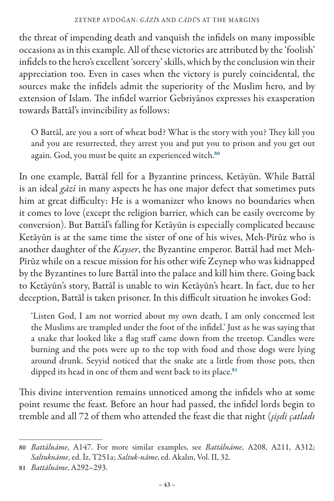the threat of impending death and vanquish the infidels on many impossible occasions as in this example. All of these victories are attributed by the 'foolish' infidels to the hero's excellent 'sorcery' skills, which by the conclusion win their appreciation too. Even in cases when the victory is purely coincidental, the sources make the infidels admit the superiority of the Muslim hero, and by extension of Islam. The infidel warrior Gebriyānos expresses his exasperation towards Battāl's invincibility as follows:

O Battāl, are you a sort of wheat bud? What is the story with you? They kill you and you are resurrected, they arrest you and put you to prison and you get out again. God, you must be quite an experienced witch.<sup>80</sup>

In one example, Battāl fell for a Byzantine princess, Ketāyūn. While Battāl is an ideal *gāzī* in many aspects he has one major defect that sometimes puts him at great difficulty: He is a womanizer who knows no boundaries when it comes to love (except the religion barrier, which can be easily overcome by conversion). But Battāl's falling for Ketāyūn is especially complicated because Ketāyūn is at the same time the sister of one of his wives, Meh-Pīrūz who is another daughter of the *Kayser*, the Byzantine emperor. Battāl had met Meh-Pīrūz while on a rescue mission for his other wife Zeynep who was kidnapped by the Byzantines to lure Battāl into the palace and kill him there. Going back to Ketāyūn's story, Battāl is unable to win Ketāyūn's heart. In fact, due to her deception, Battāl is taken prisoner. In this difficult situation he invokes God:

'Listen God, I am not worried about my own death, I am only concerned lest the Muslims are trampled under the foot of the infidel.' Just as he was saying that a snake that looked like a flag staff came down from the treetop. Candles were burning and the pots were up to the top with food and those dogs were lying around drunk. Seyyid noticed that the snake ate a little from those pots, then dipped its head in one of them and went back to its place.<sup>81</sup>

This divine intervention remains unnoticed among the infidels who at some point resume the feast. Before an hour had passed, the infidel lords begin to tremble and all 72 of them who attended the feast die that night (*şişdi çatladı* 

<sup>80</sup> *Battālnāme*, A147. For more similar examples, see *Battālnāme*, A208, A211, A312; *Saltuknāme*, ed. İz, T251a; *Saltuk-nâme*, ed. Akalın, Vol. II, 32.

<sup>81</sup> *Battālnāme*, A292–293.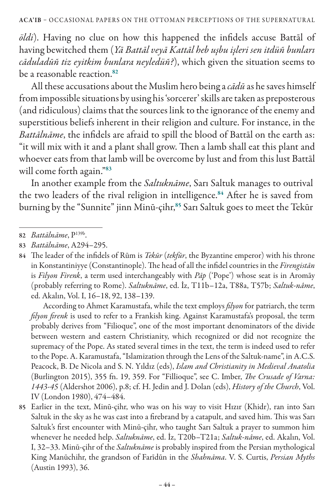*öldi*). Having no clue on how this happened the infidels accuse Battāl of having bewitched them (*Yā Battāl veyā Kattāl heb uşbu işleri sen itdüñ bunları cāduladūñ tiz eyitkim bunlara neyledüñ?*), which given the situation seems to be a reasonable reaction.<sup>82</sup>

All these accusations about the Muslim hero being a *cādū* as he saves himself from impossible situations by using his 'sorcerer' skills are taken as preposterous (and ridiculous) claims that the sources link to the ignorance of the enemy and superstitious beliefs inherent in their religion and culture. For instance, in the *Battālnāme*, the infidels are afraid to spill the blood of Battāl on the earth as: "it will mix with it and a plant shall grow. Then a lamb shall eat this plant and whoever eats from that lamb will be overcome by lust and from this lust Battāl will come forth again."83

In another example from the *Saltuknāme*, Sarı Saltuk manages to outrival the two leaders of the rival religion in intelligence.<sup>84</sup> After he is saved from burning by the "Sunnite" jinn Minū-çihr,<sup>85</sup> Sarı Saltuk goes to meet the Tekūr

According to Ahmet Karamustafa, while the text employs *filyon* for patriarch, the term *filyon firenk* is used to refer to a Frankish king. Against Karamustafa's proposal, the term probably derives from "Filioque", one of the most important denominators of the divide between western and eastern Christianity, which recognized or did not recognize the supremacy of the Pope. As stated several times in the text, the term is indeed used to refer to the Pope. A. Karamustafa, "Islamization through the Lens of the Saltuk-name", in A.C.S. Peacock, B. De Nicola and S. N. Yıldız (eds), *Islam and Christianity in Medieval Anatolia* (Burlington 2015), 355 fn. 19, 359. For "Fillioque", see C. Imber, *The Crusade of Varna: 1443-45* (Aldershot 2006), p.8; cf. H. Jedin and J. Dolan (eds), *History of the Church*, Vol. IV (London 1980), 474–484.

<sup>82</sup> *Battālnāme*, P139b.

<sup>83</sup> *Battālnāme*, A294–295.

<sup>84</sup> The leader of the infidels of Rūm is *Tekūr* (*tekfūr*, the Byzantine emperor) with his throne in Konstantiniyye (Constantinople). The head of all the infidel countries in the *Firengistān*  is *Filyon Firenk*, a term used interchangeably with *Pāp* ('Pope') whose seat is in Aromāy (probably referring to Rome). *Saltuknāme*, ed. İz, T11b–12a, T88a, T57b; *Saltuk-nâme*, ed. Akalın, Vol. I, 16–18, 92, 138–139.

<sup>85</sup> Earlier in the text, Minū-çihr, who was on his way to visit Hızır (Khidr), ran into Sarı Saltuk in the sky as he was cast into a firebrand by a catapult, and saved him. This was Sarı Saltuk's first encounter with Minū-çihr, who taught Sarı Saltuk a prayer to summon him whenever he needed help. *Saltuknāme*, ed. İz, T20b–T21a; *Saltuk-nâme*, ed. Akalın, Vol. I, 32–33. Minū-çihr of the *Saltuknāme* is probably inspired from the Persian mythological King Manūchihr, the grandson of Farīdūn in the *Shahnāma*. V. S. Curtis, *Persian Myths* (Austin 1993), 36.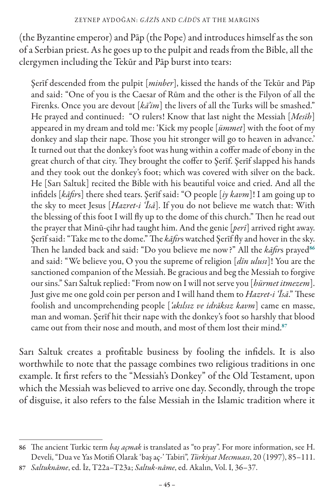(the Byzantine emperor) and Pāp (the Pope) and introduces himself as the son of a Serbian priest. As he goes up to the pulpit and reads from the Bible, all the clergymen including the Tekūr and Pāp burst into tears:

Şerīf descended from the pulpit [*minber*], kissed the hands of the Tekūr and Pāp and said: "One of you is the Caesar of Rūm and the other is the Filyon of all the Firenks. Once you are devout [ka'im] the livers of all the Turks will be smashed." He prayed and continued: "O rulers! Know that last night the Messiah [*Mesīh*] appeared in my dream and told me: 'Kick my people [*ümmet*] with the foot of my donkey and slap their nape. Those you hit stronger will go to heaven in advance.' It turned out that the donkey's foot was hung within a coffer made of ebony in the great church of that city. They brought the coffer to Şerīf. Şerīf slapped his hands and they took out the donkey's foot; which was covered with silver on the back. He [Sarı Saltuk] recited the Bible with his beautiful voice and cried. And all the infidels [*kāfir*s] there shed tears. Şerīf said: "O people [*iy kavm*]! I am going up to the sky to meet Jesus [*Hazret-i 'Īsā*]. If you do not believe me watch that: With the blessing of this foot I will fly up to the dome of this church." Then he read out the prayer that Minū-çihr had taught him. And the genie [*perī*] arrived right away. Şerīf said: "Take me to the dome." The *kāfir*s watched Şerīf fly and hover in the sky. Then he landed back and said: "Do you believe me now?" All the *kāfir*s prayed<sup>86</sup> and said: "We believe you, O you the supreme of religion [*dīn ulusı*]! You are the sanctioned companion of the Messiah. Be gracious and beg the Messiah to forgive our sins." Sarı Saltuk replied: "From now on I will not serve you [*hürmet itmezem*]. Just give me one gold coin per person and I will hand them to *Hazret-i 'Īsā*." These foolish and uncomprehending people [*'akılsız ve idrāksız kavm*] came en masse, man and woman. Şerīf hit their nape with the donkey's foot so harshly that blood came out from their nose and mouth, and most of them lost their mind.<sup>87</sup>

Sarı Saltuk creates a profitable business by fooling the infidels. It is also worthwhile to note that the passage combines two religious traditions in one example. It first refers to the "Messiah's Donkey" of the Old Testament, upon which the Messiah was believed to arrive one day. Secondly, through the trope of disguise, it also refers to the false Messiah in the Islamic tradition where it

<sup>86</sup> The ancient Turkic term *baş açmak* is translated as "to pray". For more information, see H. Develi, "Dua ve Yas Motifi Olarak 'baş aç-' Tabiri", *Türkiyat Mecmuası*, 20 (1997), 85–111.

<sup>87</sup> *Saltuknāme*, ed. İz, T22a–T23a; *Saltuk-nâme*, ed. Akalın, Vol. I, 36–37.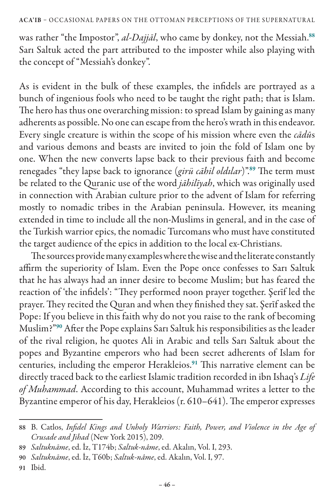was rather "the Impostor", *al-Dajjāl*, who came by donkey, not the Messiah.<sup>88</sup> Sarı Saltuk acted the part attributed to the imposter while also playing with the concept of "Messiah's donkey".

As is evident in the bulk of these examples, the infidels are portrayed as a bunch of ingenious fools who need to be taught the right path; that is Islam. The hero has thus one overarching mission: to spread Islam by gaining as many adherents as possible. No one can escape from the hero's wrath in this endeavor. Every single creature is within the scope of his mission where even the *cādū*s and various demons and beasts are invited to join the fold of Islam one by one. When the new converts lapse back to their previous faith and become renegades "they lapse back to ignorance (*girü cāhil oldılar*)".<sup>89</sup> The term must be related to the Quranic use of the word *jāhilīyah*, which was originally used in connection with Arabian culture prior to the advent of Islam for referring mostly to nomadic tribes in the Arabian peninsula. However, its meaning extended in time to include all the non-Muslims in general, and in the case of the Turkish warrior epics, the nomadic Turcomans who must have constituted the target audience of the epics in addition to the local ex-Christians.

The sources provide many examples where the wise and the literate constantly affirm the superiority of Islam. Even the Pope once confesses to Sarı Saltuk that he has always had an inner desire to become Muslim; but has feared the reaction of 'the infidels': "They performed noon prayer together. Şerīf led the prayer. They recited the Quran and when they finished they sat. Şerīf asked the Pope: If you believe in this faith why do not you raise to the rank of becoming Muslim?"<sup>90</sup> After the Pope explains Sarı Saltuk his responsibilities as the leader of the rival religion, he quotes Ali in Arabic and tells Sarı Saltuk about the popes and Byzantine emperors who had been secret adherents of Islam for centuries, including the emperor Herakleios.<sup>91</sup> This narrative element can be directly traced back to the earliest Islamic tradition recorded in ibn Ishaq's *Life of Muhammad*. According to this account, Muhammad writes a letter to the Byzantine emperor of his day, Herakleios (r. 610–641). The emperor expresses

<sup>88</sup> B. Catlos, *Infidel Kings and Unholy Warriors: Faith, Power, and Violence in the Age of Crusade and Jihad* (New York 2015), 209.

<sup>89</sup> *Saltuknāme*, ed. İz, T174b; *Saltuk-nâme*, ed. Akalın, Vol. I, 293.

<sup>90</sup> *Saltuknāme*, ed. İz, T60b; *Saltuk-nâme*, ed. Akalın, Vol. I, 97.

<sup>91</sup> Ibid.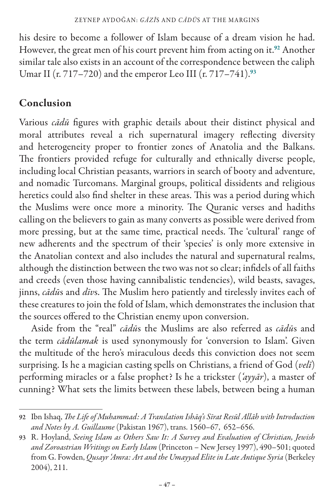his desire to become a follower of Islam because of a dream vision he had. However, the great men of his court prevent him from acting on it.<sup>92</sup> Another similar tale also exists in an account of the correspondence between the caliph Umar II (r. 717–720) and the emperor Leo III (r. 717–741).<sup>93</sup>

# Conclusion

Various *cādū* figures with graphic details about their distinct physical and moral attributes reveal a rich supernatural imagery reflecting diversity and heterogeneity proper to frontier zones of Anatolia and the Balkans. The frontiers provided refuge for culturally and ethnically diverse people, including local Christian peasants, warriors in search of booty and adventure, and nomadic Turcomans. Marginal groups, political dissidents and religious heretics could also find shelter in these areas. This was a period during which the Muslims were once more a minority. The Quranic verses and hadiths calling on the believers to gain as many converts as possible were derived from more pressing, but at the same time, practical needs. The 'cultural' range of new adherents and the spectrum of their 'species' is only more extensive in the Anatolian context and also includes the natural and supernatural realms, although the distinction between the two was not so clear; infidels of all faiths and creeds (even those having cannibalistic tendencies), wild beasts, savages, jinns, *cādū*s and *dīv*s. The Muslim hero patiently and tirelessly invites each of these creatures to join the fold of Islam, which demonstrates the inclusion that the sources offered to the Christian enemy upon conversion.

Aside from the "real" *cādū*s the Muslims are also referred as *cādū*s and the term *cādūlamak* is used synonymously for 'conversion to Islam'. Given the multitude of the hero's miraculous deeds this conviction does not seem surprising. Is he a magician casting spells on Christians, a friend of God (*velī*) performing miracles or a false prophet? Is he a trickster (*'ayyār*), a master of cunning? What sets the limits between these labels, between being a human

<sup>92</sup> Ibn Ishaq, *The Life of Muhammad: A Translation Ishāq's Sīrat Resūl Allāh with Introduction and Notes by A. Guillaume* (Pakistan 1967), trans. 1560–67, 652–656.

<sup>93</sup> R. Hoyland, *Seeing Islam as Others Saw It: A Survey and Evaluation of Christian, Jewish and Zoroastrian Writings on Early Islam* (Princeton – New Jersey 1997), 490–501; quoted from G. Fowden, *Qusayr 'Amra: Art and the Umayyad Elite in Late Antique Syria* (Berkeley 2004), 211.